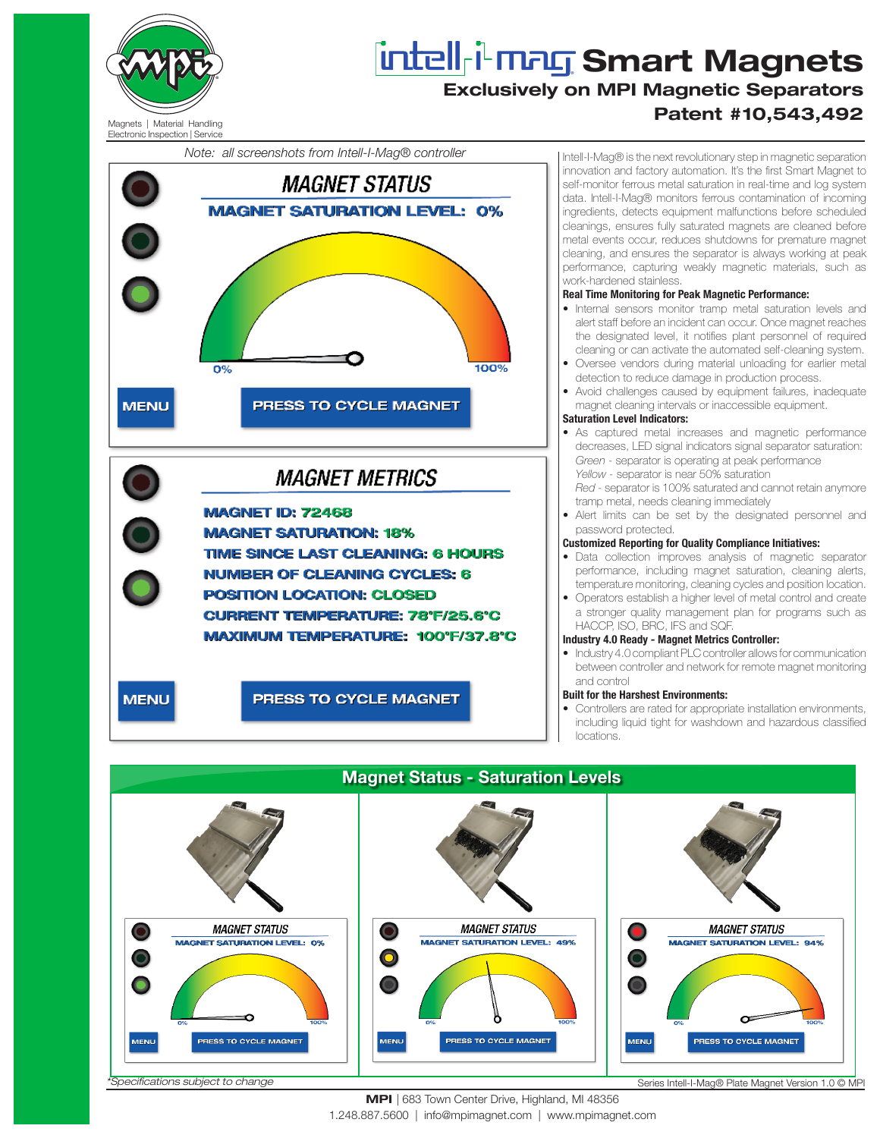

# **Smart Magnets** Exclusively on MPI Magnetic Separators Patent #10,543,492

## Electronic Inspection | Service

*Note: all screenshots from Intell-I-Mag® controller*





## MPI | 683 Town Center Drive, Highland, MI 48356

1.248.887.5600 | info@mpimagnet.com | www.mpimagnet.com